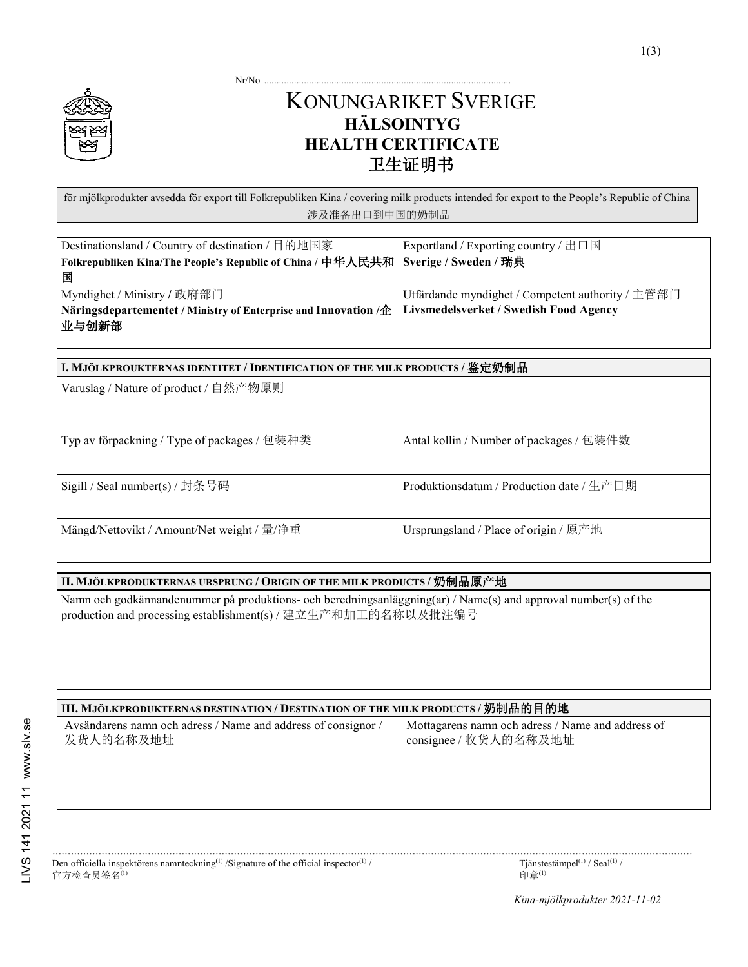Nr/No ...........

## KONUNGARIKET SVERIGE **HÄLSOINTYG HEALTH CERTIFICATE** 卫生证明书

för mjölkprodukter avsedda för export till Folkrepubliken Kina / covering milk products intended for export to the People's Republic of China 涉及准备出口到中国的奶制品

| Destinationsland / Country of destination / 目的地国家                                                        | Exportland / Exporting country / 出口国              |
|----------------------------------------------------------------------------------------------------------|---------------------------------------------------|
| Folkrepubliken Kina/The People's Republic of China / 中华人民共和   Sverige / Sweden / 瑞典                      |                                                   |
| 国                                                                                                        |                                                   |
| Myndighet / Ministry / 政府部门                                                                              | Utfärdande myndighet / Competent authority / 主管部门 |
| Näringsdepartementet / Ministry of Enterprise and Innovation /企   Livsmedelsverket / Swedish Food Agency |                                                   |
| 业与创新部                                                                                                    |                                                   |
|                                                                                                          |                                                   |

# **I. MJÖLKPROUKTERNAS IDENTITET /IDENTIFICATION OF THE MILK PRODUCTS /** 鉴定奶制品 Varuslag / Nature of product / 自然产物原则 Typ av förpackning / Type of packages / 包装种类 Antal kollin / Number of packages / 包装件数 Sigill / Seal number(s) / 封条号码 Produktionsdatum / Production date / 生产日期 Mängd/Nettovikt / Amount/Net weight / 量/净重 | Ursprungsland / Place of origin / 原产地

#### **II. MJÖLKPRODUKTERNAS URSPRUNG / ORIGIN OF THE MILK PRODUCTS /** 奶制品原产地

Namn och godkännandenummer på produktions- och beredningsanläggning(ar) / Name(s) and approval number(s) of the production and processing establishment(s) / 建立生产和加工的名称以及批注编号

#### **III. MJÖLKPRODUKTERNAS DESTINATION / DESTINATION OF THE MILK PRODUCTS /** 奶制品的目的地

| Avsändarens namn och adress / Name and address of consignor /<br>发货人的名称及地址 | Mottagarens namn och adress / Name and address of<br>consignee / 收货人的名称及地址 |
|----------------------------------------------------------------------------|----------------------------------------------------------------------------|
|                                                                            |                                                                            |
|                                                                            |                                                                            |
|                                                                            |                                                                            |

| the contract of the contract of the contract of the contract of the contract of the contract of the contract of<br>the contract of the contract of the | the contract of the contract of the contract of the contract of the contract of the contract of the contract of |
|--------------------------------------------------------------------------------------------------------------------------------------------------------|-----------------------------------------------------------------------------------------------------------------|
|                                                                                                                                                        |                                                                                                                 |

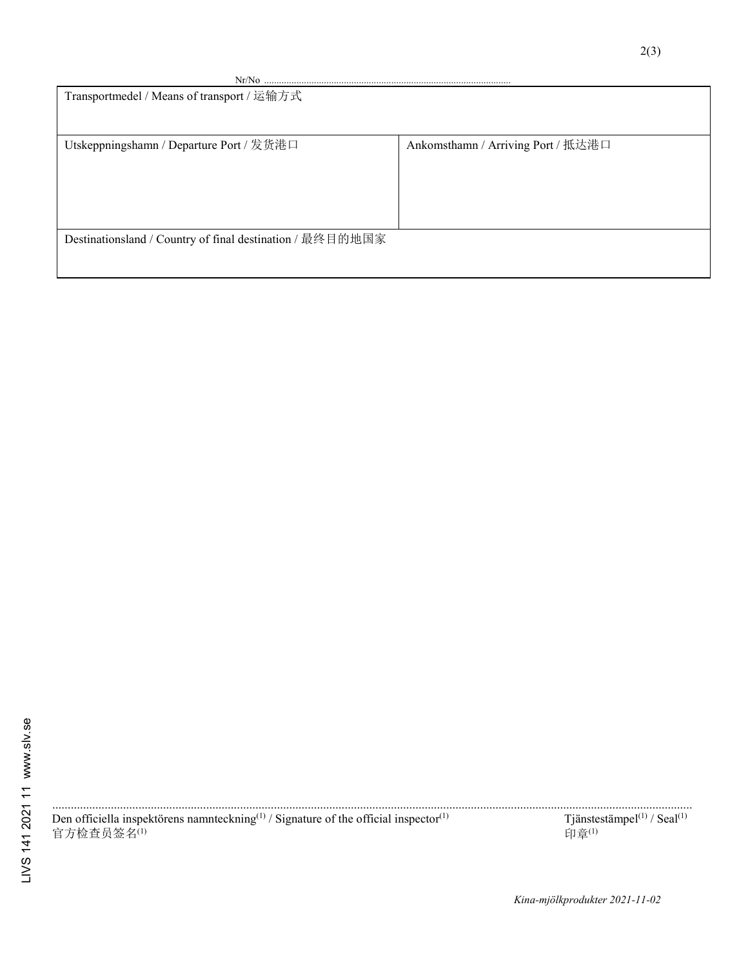| $Nr/No$                                                   |                                    |  |  |
|-----------------------------------------------------------|------------------------------------|--|--|
| Transportmedel / Means of transport / 运输方式                |                                    |  |  |
|                                                           |                                    |  |  |
|                                                           |                                    |  |  |
| Utskeppningshamn / Departure Port / 发货港口                  | Ankomsthamn / Arriving Port / 抵达港口 |  |  |
|                                                           |                                    |  |  |
|                                                           |                                    |  |  |
|                                                           |                                    |  |  |
|                                                           |                                    |  |  |
|                                                           |                                    |  |  |
| Destinationsland / Country of final destination / 最终目的地国家 |                                    |  |  |
|                                                           |                                    |  |  |
|                                                           |                                    |  |  |